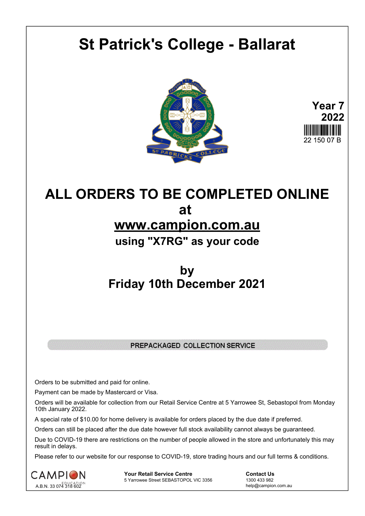# **St Patrick's College - Ballarat**





## **ALL ORDERS TO BE COMPLETED ONLINE at www.campion.com.au using "X7RG" as your code**

### **by Friday 10th December 2021**

### PREPACKAGED COLLECTION SERVICE

Orders to be submitted and paid for online.

Payment can be made by Mastercard or Visa.

Orders will be available for collection from our Retail Service Centre at 5 Yarrowee St, Sebastopol from Monday 10th January 2022.

A special rate of \$10.00 for home delivery is available for orders placed by the due date if preferred.

Orders can still be placed after the due date however full stock availability cannot always be guaranteed.

Due to COVID-19 there are restrictions on the number of people allowed in the store and unfortunately this may result in delays.

Please refer to our website for our response to COVID-19, store trading hours and our full terms & conditions.



**Your Retail Service Centre**  Contact Us<br>
5 Yarrowee Street SEBASTOPOL VIC 3356 1300 433 982 5 Yarrowee Street SEBASTOPOL VIC 3356

help@campion.com.au